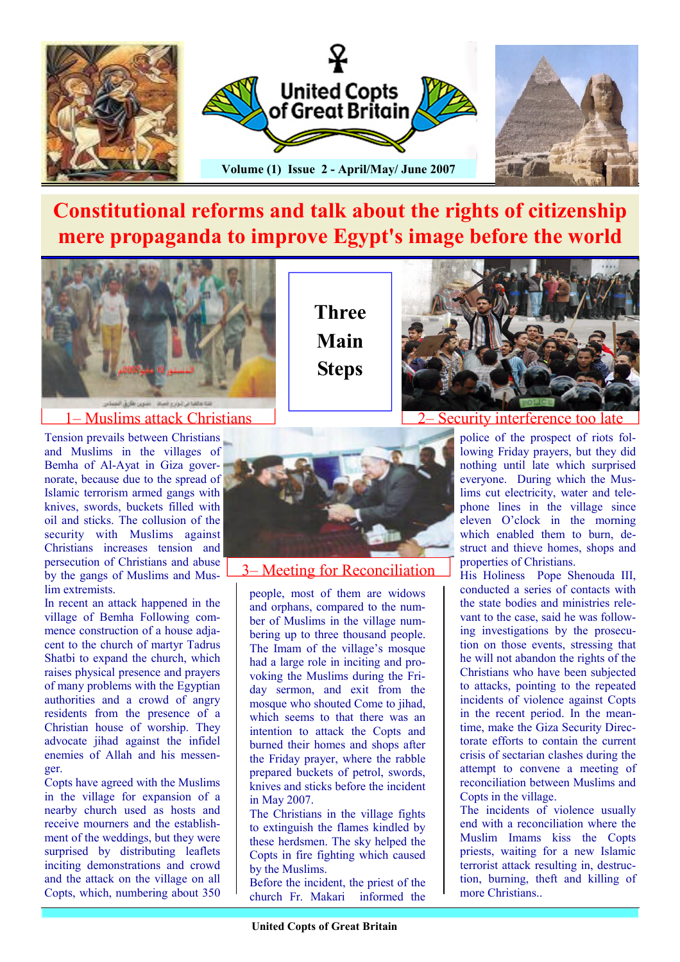

## Constitutional reforms and talk about the rights of citizenship mere propaganda to improve Egypt's image before the world

Three

Main



#### 1– Muslims attack Christians

Tension prevails between Christians and Muslims in the villages of Bemha of Al-Ayat in Giza governorate, because due to the spread of Islamic terrorism armed gangs with knives, swords, buckets filled with oil and sticks. The collusion of the security with Muslims against Christians increases tension and persecution of Christians and abuse by the gangs of Muslims and Muslim extremists.

In recent an attack happened in the village of Bemha Following commence construction of a house adjacent to the church of martyr Tadrus Shatbi to expand the church, which raises physical presence and prayers of many problems with the Egyptian authorities and a crowd of angry residents from the presence of a Christian house of worship. They advocate jihad against the infidel enemies of Allah and his messenger.

Copts have agreed with the Muslims in the village for expansion of a nearby church used as hosts and receive mourners and the establishment of the weddings, but they were surprised by distributing leaflets inciting demonstrations and crowd and the attack on the village on all Copts, which, numbering about 350 Steps

3– Meeting for Reconciliation

people, most of them are widows and orphans, compared to the number of Muslims in the village numbering up to three thousand people. The Imam of the village's mosque had a large role in inciting and provoking the Muslims during the Friday sermon, and exit from the mosque who shouted Come to jihad, which seems to that there was an intention to attack the Copts and



2– Security interference too late

police of the prospect of riots following Friday prayers, but they did nothing until late which surprised everyone. During which the Muslims cut electricity, water and telephone lines in the village since eleven O'clock in the morning which enabled them to burn, destruct and thieve homes, shops and properties of Christians.

His Holiness Pope Shenouda III, conducted a series of contacts with the state bodies and ministries relevant to the case, said he was following investigations by the prosecution on those events, stressing that he will not abandon the rights of the Christians who have been subjected to attacks, pointing to the repeated incidents of violence against Copts in the recent period. In the meantime, make the Giza Security Directorate efforts to contain the current crisis of sectarian clashes during the attempt to convene a meeting of reconciliation between Muslims and Copts in the village.

The incidents of violence usually end with a reconciliation where the Muslim Imams kiss the Copts priests, waiting for a new Islamic terrorist attack resulting in, destruction, burning, theft and killing of more Christians..



The Christians in the village fights to extinguish the flames kindled by these herdsmen. The sky helped the Copts in fire fighting which caused by the Muslims.

Before the incident, the priest of the<br>church Fr. Makari informed the church Fr. Makari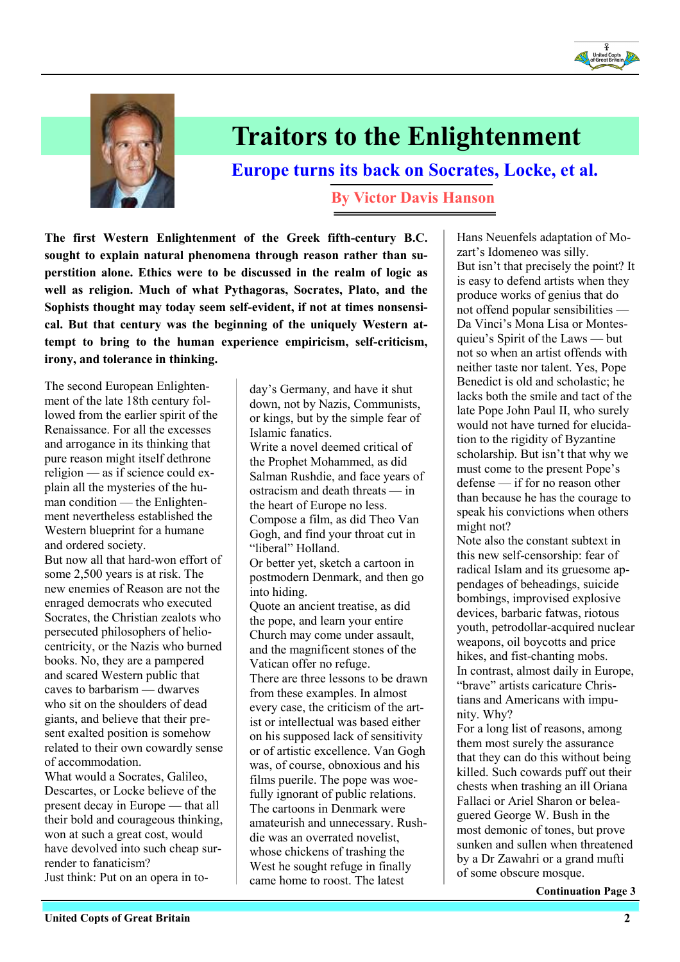



## Traitors to the Enlightenment

Europe turns its back on Socrates, Locke, et al.

By Victor Davis Hanson

The first Western Enlightenment of the Greek fifth-century B.C. sought to explain natural phenomena through reason rather than superstition alone. Ethics were to be discussed in the realm of logic as well as religion. Much of what Pythagoras, Socrates, Plato, and the Sophists thought may today seem self-evident, if not at times nonsensical. But that century was the beginning of the uniquely Western attempt to bring to the human experience empiricism, self-criticism, irony, and tolerance in thinking.

The second European Enlightenment of the late 18th century followed from the earlier spirit of the Renaissance. For all the excesses and arrogance in its thinking that pure reason might itself dethrone religion — as if science could explain all the mysteries of the human condition — the Enlightenment nevertheless established the Western blueprint for a humane and ordered society.

But now all that hard-won effort of some 2,500 years is at risk. The new enemies of Reason are not the enraged democrats who executed Socrates, the Christian zealots who persecuted philosophers of heliocentricity, or the Nazis who burned books. No, they are a pampered and scared Western public that caves to barbarism — dwarves who sit on the shoulders of dead giants, and believe that their present exalted position is somehow related to their own cowardly sense of accommodation.

What would a Socrates, Galileo, Descartes, or Locke believe of the present decay in Europe — that all their bold and courageous thinking, won at such a great cost, would have devolved into such cheap surrender to fanaticism? Just think: Put on an opera in today's Germany, and have it shut down, not by Nazis, Communists, or kings, but by the simple fear of Islamic fanatics. Write a novel deemed critical of the Prophet Mohammed, as did Salman Rushdie, and face years of ostracism and death threats — in the heart of Europe no less. Compose a film, as did Theo Van Gogh, and find your throat cut in "liberal" Holland. Or better yet, sketch a cartoon in postmodern Denmark, and then go into hiding. Quote an ancient treatise, as did the pope, and learn your entire Church may come under assault, and the magnificent stones of the Vatican offer no refuge. There are three lessons to be drawn from these examples. In almost every case, the criticism of the artist or intellectual was based either on his supposed lack of sensitivity or of artistic excellence. Van Gogh was, of course, obnoxious and his films puerile. The pope was woefully ignorant of public relations. The cartoons in Denmark were amateurish and unnecessary. Rushdie was an overrated novelist, whose chickens of trashing the West he sought refuge in finally came home to roost. The latest

Hans Neuenfels adaptation of Mozart's Idomeneo was silly. But isn't that precisely the point? It is easy to defend artists when they produce works of genius that do not offend popular sensibilities — Da Vinci's Mona Lisa or Montesquieu's Spirit of the Laws — but not so when an artist offends with neither taste nor talent. Yes, Pope Benedict is old and scholastic; he lacks both the smile and tact of the late Pope John Paul II, who surely would not have turned for elucidation to the rigidity of Byzantine scholarship. But isn't that why we must come to the present Pope's defense — if for no reason other than because he has the courage to speak his convictions when others might not?

Note also the constant subtext in this new self-censorship: fear of radical Islam and its gruesome appendages of beheadings, suicide bombings, improvised explosive devices, barbaric fatwas, riotous youth, petrodollar-acquired nuclear weapons, oil boycotts and price hikes, and fist-chanting mobs. In contrast, almost daily in Europe, "brave" artists caricature Christians and Americans with impunity. Why?

For a long list of reasons, among them most surely the assurance that they can do this without being killed. Such cowards puff out their chests when trashing an ill Oriana Fallaci or Ariel Sharon or beleaguered George W. Bush in the most demonic of tones, but prove sunken and sullen when threatened by a Dr Zawahri or a grand mufti of some obscure mosque.

Continuation Page 3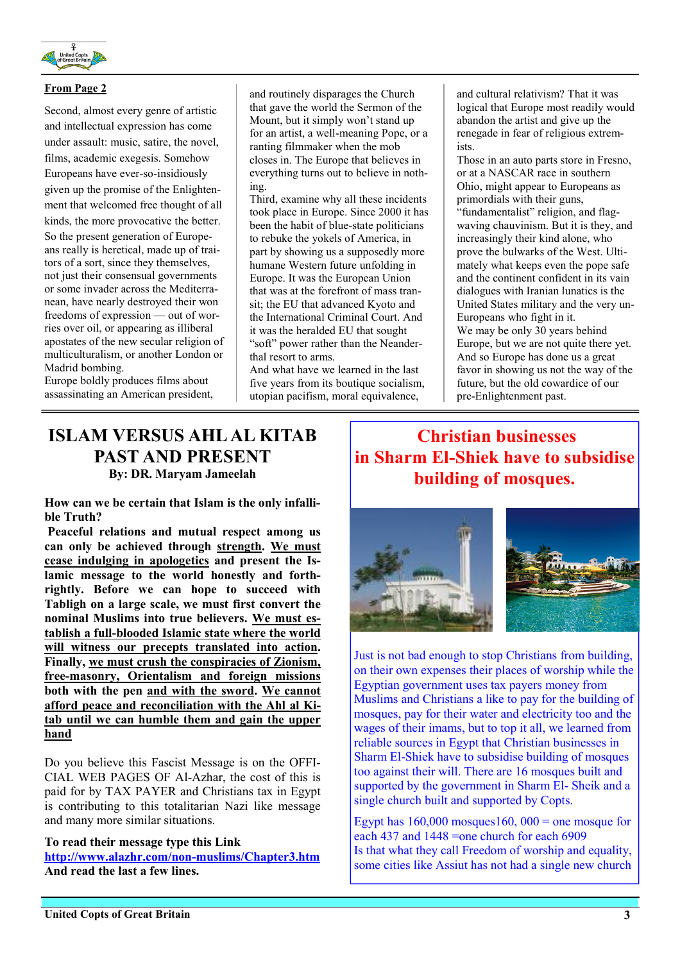

#### From Page 2

Second, almost every genre of artistic and intellectual expression has come under assault: music, satire, the novel, films, academic exegesis. Somehow Europeans have ever-so-insidiously given up the promise of the Enlightenment that welcomed free thought of all kinds, the more provocative the better. So the present generation of Europeans really is heretical, made up of traitors of a sort, since they themselves, not just their consensual governments or some invader across the Mediterranean, have nearly destroyed their won freedoms of expression — out of worries over oil, or appearing as illiberal apostates of the new secular religion of multiculturalism, or another London or Madrid bombing.

Europe boldly produces films about assassinating an American president, and routinely disparages the Church that gave the world the Sermon of the Mount, but it simply won't stand up for an artist, a well-meaning Pope, or a ranting filmmaker when the mob closes in. The Europe that believes in everything turns out to believe in nothing.

Third, examine why all these incidents took place in Europe. Since 2000 it has been the habit of blue-state politicians to rebuke the yokels of America, in part by showing us a supposedly more humane Western future unfolding in Europe. It was the European Union that was at the forefront of mass transit; the EU that advanced Kyoto and the International Criminal Court. And it was the heralded EU that sought "soft" power rather than the Neanderthal resort to arms.

And what have we learned in the last five years from its boutique socialism, utopian pacifism, moral equivalence,

and cultural relativism? That it was logical that Europe most readily would abandon the artist and give up the renegade in fear of religious extremists.

Those in an auto parts store in Fresno, or at a NASCAR race in southern Ohio, might appear to Europeans as primordials with their guns,

"fundamentalist" religion, and flagwaving chauvinism. But it is they, and increasingly their kind alone, who prove the bulwarks of the West. Ultimately what keeps even the pope safe and the continent confident in its vain dialogues with Iranian lunatics is the United States military and the very un-Europeans who fight in it. We may be only 30 years behind Europe, but we are not quite there yet. And so Europe has done us a great favor in showing us not the way of the future, but the old cowardice of our pre-Enlightenment past.

## ISLAM VERSUS AHL AL KITAB PAST AND PRESENT

By: DR. Maryam Jameelah

How can we be certain that Islam is the only infallible Truth?

Peaceful relations and mutual respect among us can only be achieved through strength. We must cease indulging in apologetics and present the Islamic message to the world honestly and forthrightly. Before we can hope to succeed with Tabligh on a large scale, we must first convert the nominal Muslims into true believers. We must establish a full-blooded Islamic state where the world will witness our precepts translated into action. Finally, we must crush the conspiracies of Zionism, free-masonry, Orientalism and foreign missions both with the pen and with the sword. We cannot afford peace and reconciliation with the Ahl al Kitab until we can humble them and gain the upper hand

Do you believe this Fascist Message is on the OFFI-CIAL WEB PAGES OF Al-Azhar, the cost of this is paid for by TAX PAYER and Christians tax in Egypt is contributing to this totalitarian Nazi like message and many more similar situations.

To read their message type this Link http://www.alazhr.com/non-muslims/Chapter3.htm And read the last a few lines.

## Christian businesses in Sharm El-Shiek have to subsidise building of mosques.





Just is not bad enough to stop Christians from building, on their own expenses their places of worship while the Egyptian government uses tax payers money from Muslims and Christians a like to pay for the building of mosques, pay for their water and electricity too and the wages of their imams, but to top it all, we learned from reliable sources in Egypt that Christian businesses in Sharm El-Shiek have to subsidise building of mosques too against their will. There are 16 mosques built and supported by the government in Sharm El- Sheik and a single church built and supported by Copts.

Egypt has  $160,000$  mosques $160,000$  = one mosque for each 437 and 1448 =one church for each 6909 Is that what they call Freedom of worship and equality, some cities like Assiut has not had a single new church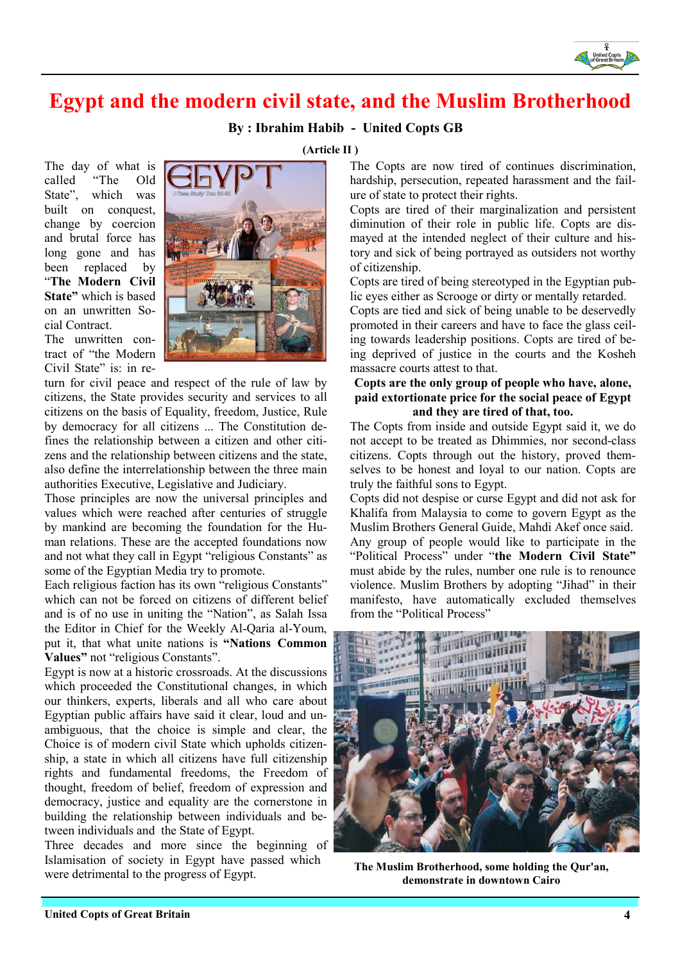

## Egypt and the modern civil state, and the Muslim Brotherhood

#### By : Ibrahim Habib - United Copts GB

The day of what is called "The Old State", which was built on conquest. change by coercion and brutal force has long gone and has been replaced by "The Modern Civil State" which is based on an unwritten Social Contract.

The unwritten contract of "the Modern Civil State" is: in re-

turn for civil peace and respect of the rule of law by citizens, the State provides security and services to all citizens on the basis of Equality, freedom, Justice, Rule by democracy for all citizens ... The Constitution defines the relationship between a citizen and other citizens and the relationship between citizens and the state, also define the interrelationship between the three main authorities Executive, Legislative and Judiciary.

Those principles are now the universal principles and values which were reached after centuries of struggle by mankind are becoming the foundation for the Human relations. These are the accepted foundations now and not what they call in Egypt "religious Constants" as some of the Egyptian Media try to promote.

Each religious faction has its own "religious Constants" which can not be forced on citizens of different belief and is of no use in uniting the "Nation", as Salah Issa the Editor in Chief for the Weekly Al-Qaria al-Youm, put it, that what unite nations is "Nations Common Values" not "religious Constants".

Egypt is now at a historic crossroads. At the discussions which proceeded the Constitutional changes, in which our thinkers, experts, liberals and all who care about Egyptian public affairs have said it clear, loud and unambiguous, that the choice is simple and clear, the Choice is of modern civil State which upholds citizenship, a state in which all citizens have full citizenship rights and fundamental freedoms, the Freedom of thought, freedom of belief, freedom of expression and democracy, justice and equality are the cornerstone in building the relationship between individuals and between individuals and the State of Egypt.

Three decades and more since the beginning of Islamisation of society in Egypt have passed which were detrimental to the progress of Egypt.

(Article II )

The Copts are now tired of continues discrimination, hardship, persecution, repeated harassment and the failure of state to protect their rights.

Copts are tired of their marginalization and persistent diminution of their role in public life. Copts are dismayed at the intended neglect of their culture and history and sick of being portrayed as outsiders not worthy of citizenship.

Copts are tired of being stereotyped in the Egyptian public eyes either as Scrooge or dirty or mentally retarded.

Copts are tied and sick of being unable to be deservedly promoted in their careers and have to face the glass ceiling towards leadership positions. Copts are tired of being deprived of justice in the courts and the Kosheh massacre courts attest to that.

#### Copts are the only group of people who have, alone, paid extortionate price for the social peace of Egypt and they are tired of that, too.

The Copts from inside and outside Egypt said it, we do not accept to be treated as Dhimmies, nor second-class citizens. Copts through out the history, proved themselves to be honest and loyal to our nation. Copts are truly the faithful sons to Egypt.

Copts did not despise or curse Egypt and did not ask for Khalifa from Malaysia to come to govern Egypt as the Muslim Brothers General Guide, Mahdi Akef once said. Any group of people would like to participate in the "Political Process" under "the Modern Civil State" must abide by the rules, number one rule is to renounce violence. Muslim Brothers by adopting "Jihad" in their manifesto, have automatically excluded themselves from the "Political Process"



The Muslim Brotherhood, some holding the Qur'an, demonstrate in downtown Cairo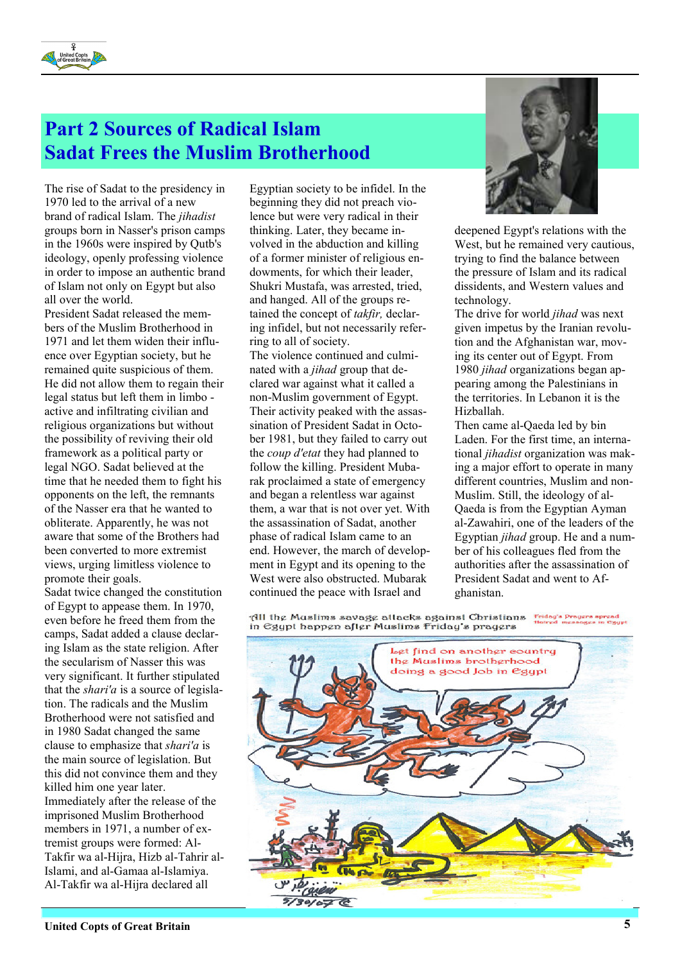

## Part 2 Sources of Radical Islam Sadat Frees the Muslim Brotherhood

The rise of Sadat to the presidency in 1970 led to the arrival of a new brand of radical Islam. The jihadist groups born in Nasser's prison camps in the 1960s were inspired by Qutb's ideology, openly professing violence in order to impose an authentic brand of Islam not only on Egypt but also all over the world.

President Sadat released the members of the Muslim Brotherhood in 1971 and let them widen their influence over Egyptian society, but he remained quite suspicious of them. He did not allow them to regain their legal status but left them in limbo active and infiltrating civilian and religious organizations but without the possibility of reviving their old framework as a political party or legal NGO. Sadat believed at the time that he needed them to fight his opponents on the left, the remnants of the Nasser era that he wanted to obliterate. Apparently, he was not aware that some of the Brothers had been converted to more extremist views, urging limitless violence to promote their goals.

Sadat twice changed the constitution of Egypt to appease them. In 1970, even before he freed them from the camps, Sadat added a clause declaring Islam as the state religion. After the secularism of Nasser this was very significant. It further stipulated that the *shari'a* is a source of legislation. The radicals and the Muslim Brotherhood were not satisfied and in 1980 Sadat changed the same clause to emphasize that shari'a is the main source of legislation. But this did not convince them and they killed him one year later. Immediately after the release of the imprisoned Muslim Brotherhood members in 1971, a number of extremist groups were formed: Al-Takfir wa al-Hijra, Hizb al-Tahrir al-Islami, and al-Gamaa al-Islamiya. Al-Takfir wa al-Hijra declared all

Egyptian society to be infidel. In the beginning they did not preach violence but were very radical in their thinking. Later, they became involved in the abduction and killing of a former minister of religious endowments, for which their leader, Shukri Mustafa, was arrested, tried, and hanged. All of the groups retained the concept of takfir, declaring infidel, but not necessarily referring to all of society.

The violence continued and culminated with a *jihad* group that declared war against what it called a non-Muslim government of Egypt. Their activity peaked with the assassination of President Sadat in October 1981, but they failed to carry out the coup d'etat they had planned to follow the killing. President Mubarak proclaimed a state of emergency and began a relentless war against them, a war that is not over yet. With the assassination of Sadat, another phase of radical Islam came to an end. However, the march of development in Egypt and its opening to the West were also obstructed. Mubarak continued the peace with Israel and



deepened Egypt's relations with the West, but he remained very cautious, trying to find the balance between the pressure of Islam and its radical dissidents, and Western values and technology.

The drive for world *jihad* was next given impetus by the Iranian revolution and the Afghanistan war, moving its center out of Egypt. From 1980 jihad organizations began appearing among the Palestinians in the territories. In Lebanon it is the Hizballah.

Then came al-Qaeda led by bin Laden. For the first time, an international jihadist organization was making a major effort to operate in many different countries, Muslim and non-Muslim. Still, the ideology of al-Qaeda is from the Egyptian Ayman al-Zawahiri, one of the leaders of the Egyptian jihad group. He and a number of his colleagues fled from the authorities after the assassination of President Sadat and went to Afghanistan.

All the Muslims savage attacks against Christians in egypt happen after Muslims Friday's prayers

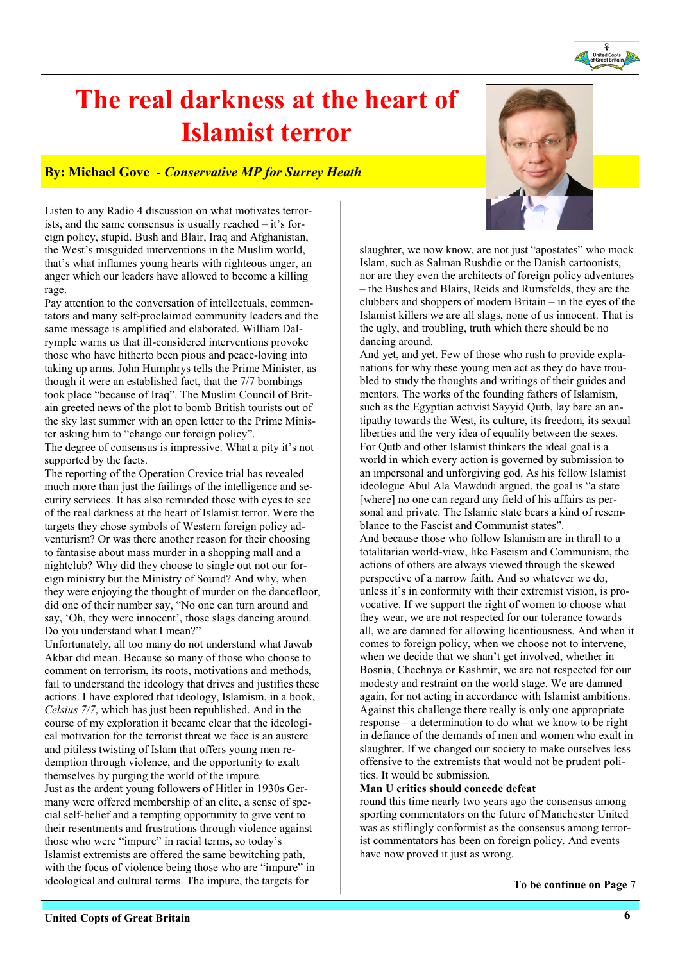# The real darkness at the heart of Islamist terror

#### By: Michael Gove - Conservative MP for Surrey Heath

Listen to any Radio 4 discussion on what motivates terrorists, and the same consensus is usually reached – it's foreign policy, stupid. Bush and Blair, Iraq and Afghanistan, the West's misguided interventions in the Muslim world, that's what inflames young hearts with righteous anger, an anger which our leaders have allowed to become a killing rage.

Pay attention to the conversation of intellectuals, commentators and many self-proclaimed community leaders and the same message is amplified and elaborated. William Dalrymple warns us that ill-considered interventions provoke those who have hitherto been pious and peace-loving into taking up arms. John Humphrys tells the Prime Minister, as though it were an established fact, that the 7/7 bombings took place "because of Iraq". The Muslim Council of Britain greeted news of the plot to bomb British tourists out of the sky last summer with an open letter to the Prime Minister asking him to "change our foreign policy".

The degree of consensus is impressive. What a pity it's not supported by the facts.

The reporting of the Operation Crevice trial has revealed much more than just the failings of the intelligence and security services. It has also reminded those with eyes to see of the real darkness at the heart of Islamist terror. Were the targets they chose symbols of Western foreign policy adventurism? Or was there another reason for their choosing to fantasise about mass murder in a shopping mall and a nightclub? Why did they choose to single out not our foreign ministry but the Ministry of Sound? And why, when they were enjoying the thought of murder on the dancefloor, did one of their number say, "No one can turn around and say, 'Oh, they were innocent', those slags dancing around. Do you understand what I mean?"

Unfortunately, all too many do not understand what Jawab Akbar did mean. Because so many of those who choose to comment on terrorism, its roots, motivations and methods, fail to understand the ideology that drives and justifies these actions. I have explored that ideology, Islamism, in a book, Celsius 7/7, which has just been republished. And in the course of my exploration it became clear that the ideological motivation for the terrorist threat we face is an austere and pitiless twisting of Islam that offers young men redemption through violence, and the opportunity to exalt themselves by purging the world of the impure. Just as the ardent young followers of Hitler in 1930s Germany were offered membership of an elite, a sense of special self-belief and a tempting opportunity to give vent to their resentments and frustrations through violence against those who were "impure" in racial terms, so today's Islamist extremists are offered the same bewitching path, with the focus of violence being those who are "impure" in ideological and cultural terms. The impure, the targets for

slaughter, we now know, are not just "apostates" who mock Islam, such as Salman Rushdie or the Danish cartoonists, nor are they even the architects of foreign policy adventures – the Bushes and Blairs, Reids and Rumsfelds, they are the clubbers and shoppers of modern Britain – in the eyes of the Islamist killers we are all slags, none of us innocent. That is the ugly, and troubling, truth which there should be no dancing around.

And yet, and yet. Few of those who rush to provide explanations for why these young men act as they do have troubled to study the thoughts and writings of their guides and mentors. The works of the founding fathers of Islamism, such as the Egyptian activist Sayyid Qutb, lay bare an antipathy towards the West, its culture, its freedom, its sexual liberties and the very idea of equality between the sexes. For Qutb and other Islamist thinkers the ideal goal is a world in which every action is governed by submission to an impersonal and unforgiving god. As his fellow Islamist ideologue Abul Ala Mawdudi argued, the goal is "a state [where] no one can regard any field of his affairs as personal and private. The Islamic state bears a kind of resemblance to the Fascist and Communist states".

And because those who follow Islamism are in thrall to a totalitarian world-view, like Fascism and Communism, the actions of others are always viewed through the skewed perspective of a narrow faith. And so whatever we do, unless it's in conformity with their extremist vision, is provocative. If we support the right of women to choose what they wear, we are not respected for our tolerance towards all, we are damned for allowing licentiousness. And when it comes to foreign policy, when we choose not to intervene, when we decide that we shan't get involved, whether in Bosnia, Chechnya or Kashmir, we are not respected for our modesty and restraint on the world stage. We are damned again, for not acting in accordance with Islamist ambitions. Against this challenge there really is only one appropriate response – a determination to do what we know to be right in defiance of the demands of men and women who exalt in slaughter. If we changed our society to make ourselves less offensive to the extremists that would not be prudent politics. It would be submission.

#### Man U critics should concede defeat

round this time nearly two years ago the consensus among sporting commentators on the future of Manchester United was as stiflingly conformist as the consensus among terrorist commentators has been on foreign policy. And events have now proved it just as wrong.



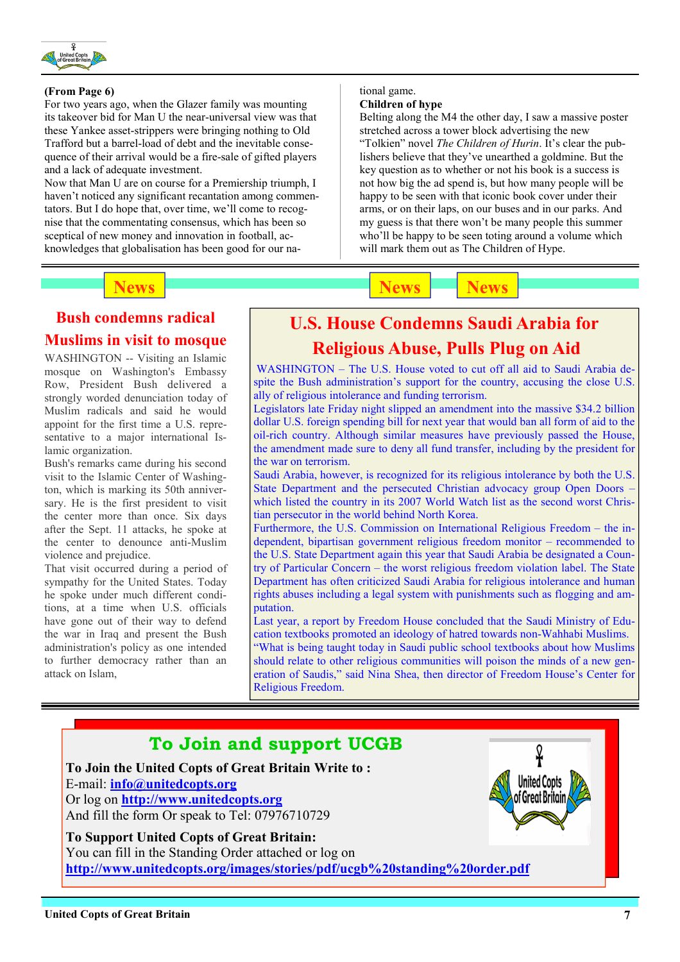

#### (From Page 6)

For two years ago, when the Glazer family was mounting its takeover bid for Man U the near-universal view was that these Yankee asset-strippers were bringing nothing to Old Trafford but a barrel-load of debt and the inevitable consequence of their arrival would be a fire-sale of gifted players and a lack of adequate investment.

Now that Man U are on course for a Premiership triumph, I haven't noticed any significant recantation among commentators. But I do hope that, over time, we'll come to recognise that the commentating consensus, which has been so sceptical of new money and innovation in football, acknowledges that globalisation has been good for our na-

### News News News News News News

#### tional game. Children of hype

Belting along the M4 the other day, I saw a massive poster stretched across a tower block advertising the new "Tolkien" novel The Children of Hurin. It's clear the publishers believe that they've unearthed a goldmine. But the key question as to whether or not his book is a success is not how big the ad spend is, but how many people will be happy to be seen with that iconic book cover under their arms, or on their laps, on our buses and in our parks. And my guess is that there won't be many people this summer who'll be happy to be seen toting around a volume which will mark them out as The Children of Hype.

## Bush condemns radical Muslims in visit to mosque

WASHINGTON -- Visiting an Islamic mosque on Washington's Embassy Row, President Bush delivered a strongly worded denunciation today of Muslim radicals and said he would appoint for the first time a U.S. representative to a major international Islamic organization.

Bush's remarks came during his second visit to the Islamic Center of Washington, which is marking its 50th anniversary. He is the first president to visit the center more than once. Six days after the Sept. 11 attacks, he spoke at the center to denounce anti-Muslim violence and prejudice.

That visit occurred during a period of sympathy for the United States. Today he spoke under much different conditions, at a time when U.S. officials have gone out of their way to defend the war in Iraq and present the Bush administration's policy as one intended to further democracy rather than an attack on Islam,

## U.S. House Condemns Saudi Arabia for

### Religious Abuse, Pulls Plug on Aid

WASHINGTON – The U.S. House voted to cut off all aid to Saudi Arabia despite the Bush administration's support for the country, accusing the close U.S. ally of religious intolerance and funding terrorism.

Legislators late Friday night slipped an amendment into the massive \$34.2 billion dollar U.S. foreign spending bill for next year that would ban all form of aid to the oil-rich country. Although similar measures have previously passed the House, the amendment made sure to deny all fund transfer, including by the president for the war on terrorism.

Saudi Arabia, however, is recognized for its religious intolerance by both the U.S. State Department and the persecuted Christian advocacy group Open Doors – which listed the country in its 2007 World Watch list as the second worst Christian persecutor in the world behind North Korea.

Furthermore, the U.S. Commission on International Religious Freedom – the independent, bipartisan government religious freedom monitor – recommended to the U.S. State Department again this year that Saudi Arabia be designated a Country of Particular Concern – the worst religious freedom violation label. The State Department has often criticized Saudi Arabia for religious intolerance and human rights abuses including a legal system with punishments such as flogging and amputation.

Last year, a report by Freedom House concluded that the Saudi Ministry of Education textbooks promoted an ideology of hatred towards non-Wahhabi Muslims. "What is being taught today in Saudi public school textbooks about how Muslims should relate to other religious communities will poison the minds of a new generation of Saudis," said Nina Shea, then director of Freedom House's Center for Religious Freedom.